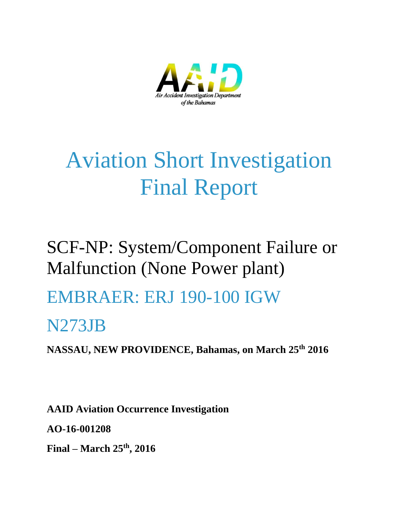

# Aviation Short Investigation Final Report

## SCF-NP: System/Component Failure or Malfunction (None Power plant)

## EMBRAER: ERJ 190-100 IGW

### N273JB

**NASSAU, NEW PROVIDENCE, Bahamas, on March 25th 2016**

**AAID Aviation Occurrence Investigation AO-16-001208 Final – March 25th, 2016**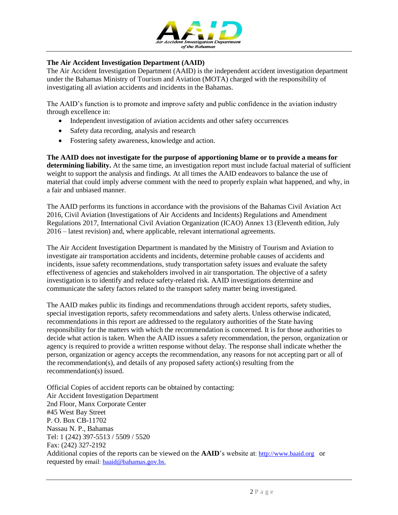

#### **The Air Accident Investigation Department (AAID)**

The Air Accident Investigation Department (AAID) is the independent accident investigation department under the Bahamas Ministry of Tourism and Aviation (MOTA) charged with the responsibility of investigating all aviation accidents and incidents in the Bahamas.

The AAID's function is to promote and improve safety and public confidence in the aviation industry through excellence in:

- Independent investigation of aviation accidents and other safety occurrences
- Safety data recording, analysis and research
- Fostering safety awareness, knowledge and action.

**The AAID does not investigate for the purpose of apportioning blame or to provide a means for determining liability.** At the same time, an investigation report must include factual material of sufficient weight to support the analysis and findings. At all times the AAID endeavors to balance the use of material that could imply adverse comment with the need to properly explain what happened, and why, in a fair and unbiased manner.

The AAID performs its functions in accordance with the provisions of the Bahamas Civil Aviation Act 2016, Civil Aviation (Investigations of Air Accidents and Incidents) Regulations and Amendment Regulations 2017, International Civil Aviation Organization (ICAO) Annex 13 (Eleventh edition, July 2016 – latest revision) and, where applicable, relevant international agreements.

The Air Accident Investigation Department is mandated by the Ministry of Tourism and Aviation to investigate air transportation accidents and incidents, determine probable causes of accidents and incidents, issue safety recommendations, study transportation safety issues and evaluate the safety effectiveness of agencies and stakeholders involved in air transportation. The objective of a safety investigation is to identify and reduce safety-related risk. AAID investigations determine and communicate the safety factors related to the transport safety matter being investigated.

The AAID makes public its findings and recommendations through accident reports, safety studies, special investigation reports, safety recommendations and safety alerts. Unless otherwise indicated, recommendations in this report are addressed to the regulatory authorities of the State having responsibility for the matters with which the recommendation is concerned. It is for those authorities to decide what action is taken. When the AAID issues a safety recommendation, the person, organization or agency is required to provide a written response without delay. The response shall indicate whether the person, organization or agency accepts the recommendation, any reasons for not accepting part or all of the recommendation(s), and details of any proposed safety action(s) resulting from the recommendation(s) issued.

Official Copies of accident reports can be obtained by contacting: Air Accident Investigation Department 2nd Floor, Manx Corporate Center #45 West Bay Street P. O. Box CB-11702 Nassau N. P., Bahamas Tel: 1 (242) 397-5513 / 5509 / 5520 Fax: (242) 327-2192 Additional copies of the reports can be viewed on the **AAID**'s website at: [http://www.baaid.org](http://www.baaid.org/) or requested by email: [baaid@bahamas.gov.bs.](mailto:baaid@bahamas.gov.bs)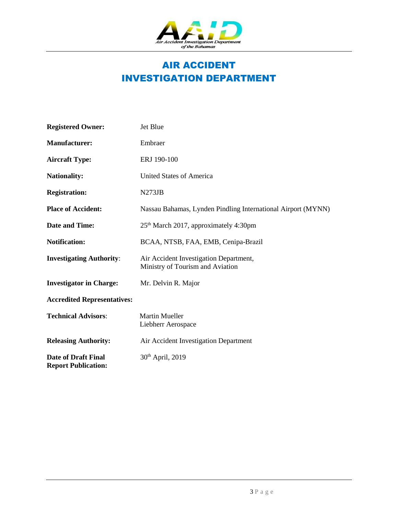

#### AIR ACCIDENT INVESTIGATION DEPARTMENT

| <b>Registered Owner:</b>                                 | Jet Blue                                                                   |
|----------------------------------------------------------|----------------------------------------------------------------------------|
| <b>Manufacturer:</b>                                     | Embraer                                                                    |
| <b>Aircraft Type:</b>                                    | ERJ 190-100                                                                |
| <b>Nationality:</b>                                      | <b>United States of America</b>                                            |
| <b>Registration:</b>                                     | N273JB                                                                     |
| <b>Place of Accident:</b>                                | Nassau Bahamas, Lynden Pindling International Airport (MYNN)               |
| <b>Date and Time:</b>                                    | 25 <sup>th</sup> March 2017, approximately 4:30pm                          |
| <b>Notification:</b>                                     | BCAA, NTSB, FAA, EMB, Cenipa-Brazil                                        |
| <b>Investigating Authority:</b>                          | Air Accident Investigation Department,<br>Ministry of Tourism and Aviation |
| <b>Investigator in Charge:</b>                           | Mr. Delvin R. Major                                                        |
| <b>Accredited Representatives:</b>                       |                                                                            |
| <b>Technical Advisors:</b>                               | <b>Martin Mueller</b><br>Liebherr Aerospace                                |
| <b>Releasing Authority:</b>                              | Air Accident Investigation Department                                      |
| <b>Date of Draft Final</b><br><b>Report Publication:</b> | 30 <sup>th</sup> April, 2019                                               |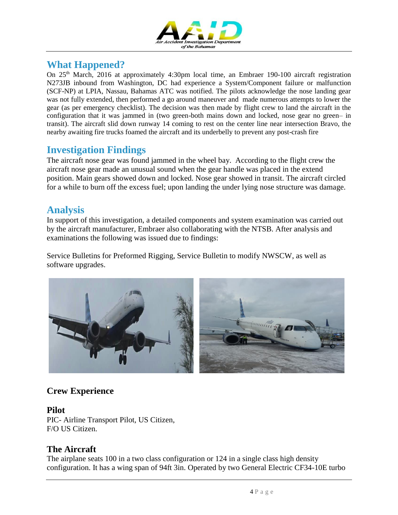

#### **What Happened?**

On 25<sup>th</sup> March, 2016 at approximately 4:30pm local time, an Embraer 190-100 aircraft registration N273JB inbound from Washington, DC had experience a System/Component failure or malfunction (SCF-NP) at LPIA, Nassau, Bahamas ATC was notified. The pilots acknowledge the nose landing gear was not fully extended, then performed a go around maneuver and made numerous attempts to lower the gear (as per emergency checklist). The decision was then made by flight crew to land the aircraft in the configuration that it was jammed in (two green-both mains down and locked, nose gear no green– in transit). The aircraft slid down runway 14 coming to rest on the center line near intersection Bravo, the nearby awaiting fire trucks foamed the aircraft and its underbelly to prevent any post-crash fire

#### **Investigation Findings**

The aircraft nose gear was found jammed in the wheel bay. According to the flight crew the aircraft nose gear made an unusual sound when the gear handle was placed in the extend position. Main gears showed down and locked. Nose gear showed in transit. The aircraft circled for a while to burn off the excess fuel; upon landing the under lying nose structure was damage.

#### **Analysis**

In support of this investigation, a detailed components and system examination was carried out by the aircraft manufacturer, Embraer also collaborating with the NTSB. After analysis and examinations the following was issued due to findings:

Service Bulletins for Preformed Rigging, Service Bulletin to modify NWSCW, as well as software upgrades.



#### **Crew Experience**

#### **Pilot**

PIC- Airline Transport Pilot, US Citizen, F/O US Citizen.

#### **The Aircraft**

The airplane seats 100 in a two class configuration or 124 in a single class high density configuration. It has a wing span of 94ft 3in. Operated by two General Electric CF34-10E turbo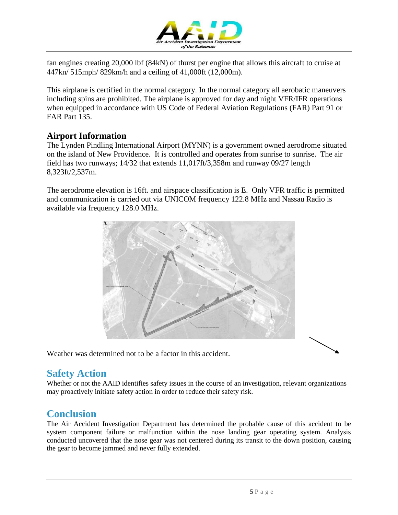

fan engines creating 20,000 lbf (84kN) of thurst per engine that allows this aircraft to cruise at 447kn/ 515mph/ 829km/h and a ceiling of 41,000ft (12,000m).

This airplane is certified in the normal category. In the normal category all aerobatic maneuvers including spins are prohibited. The airplane is approved for day and night VFR/IFR operations when equipped in accordance with US Code of Federal Aviation Regulations (FAR) Part 91 or FAR Part 135.

#### **Airport Information**

The Lynden Pindling International Airport (MYNN) is a government owned aerodrome situated on the island of New Providence. It is controlled and operates from sunrise to sunrise. The air field has two runways; 14/32 that extends 11,017ft/3,358m and runway 09/27 length 8,323ft/2,537m.

The aerodrome elevation is 16ft. and airspace classification is E. Only VFR traffic is permitted and communication is carried out via UNICOM frequency 122.8 MHz and Nassau Radio is available via frequency 128.0 MHz.



Weather was determined not to be a factor in this accident.

#### **Safety Action**

Whether or not the AAID identifies safety issues in the course of an investigation, relevant organizations may proactively initiate safety action in order to reduce their safety risk.

#### **Conclusion**

The Air Accident Investigation Department has determined the probable cause of this accident to be system component failure or malfunction within the nose landing gear operating system. Analysis conducted uncovered that the nose gear was not centered during its transit to the down position, causing the gear to become jammed and never fully extended.